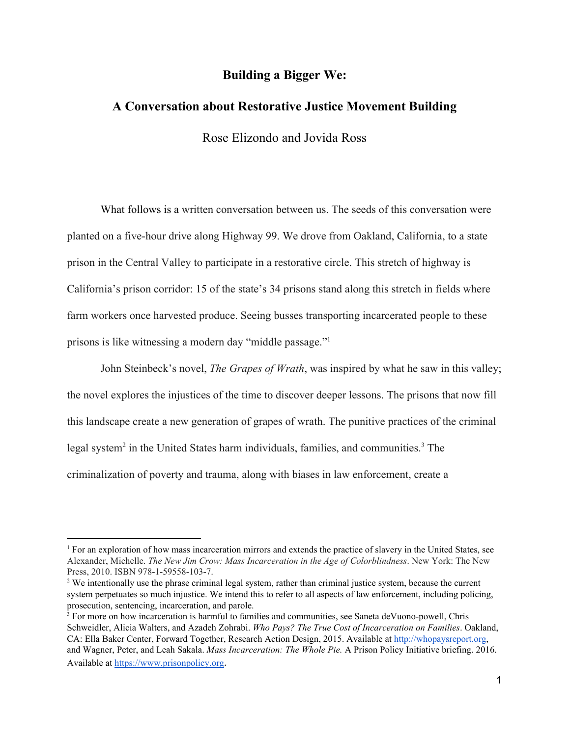# **Building a Bigger We:**

# **A Conversation about Restorative Justice Movement Building** Rose Elizondo and Jovida Ross

What follows is a written conversation between us. The seeds of this conversation were planted on a five-hour drive along Highway 99. We drove from Oakland, California, to a state prison in the Central Valley to participate in a restorative circle. This stretch of highway is California's prison corridor: 15 of the state's 34 prisons stand along this stretch in fields where farm workers once harvested produce. Seeing busses transporting incarcerated people to these prisons is like witnessing a modern day "middle passage."<sup>1</sup>

John Steinbeck's novel, *The Grapes of Wrath*, was inspired by what he saw in this valley; the novel explores the injustices of the time to discover deeper lessons. The prisons that now fill this landscape create a new generation of grapes of wrath. The punitive practices of the criminal legal system<sup>2</sup> in the United States harm individuals, families, and communities.<sup>3</sup> The criminalization of poverty and trauma, along with biases in law enforcement, create a

<sup>1</sup> For an exploration of how mass incarceration mirrors and extends the practice of slavery in the United States, see Alexander, Michelle. *The New Jim Crow: Mass Incarceration in the Age of Colorblindness*. New York: The New Press, 2010. ISBN 978-1-59558-103-7.

<sup>&</sup>lt;sup>2</sup> We intentionally use the phrase criminal legal system, rather than criminal justice system, because the current system perpetuates so much injustice. We intend this to refer to all aspects of law enforcement, including policing, prosecution, sentencing, incarceration, and parole.

<sup>3</sup> For more on how incarceration is harmful to families and communities, see Saneta deVuono-powell, Chris Schweidler, Alicia Walters, and Azadeh Zohrabi. *Who Pays? The True Cost of Incarceration on Families*. Oakland, CA: Ella Baker Center, Forward Together, Research Action Design, 2015. Available at [http://whopaysreport.org,](http://whopaysreport.org/) and Wagner, Peter, and Leah Sakala. *Mass Incarceration: The Whole Pie.* A Prison Policy Initiative briefing. 2016. Available at [https://www.prisonpolicy.org](https://www.prisonpolicy.org/)*.*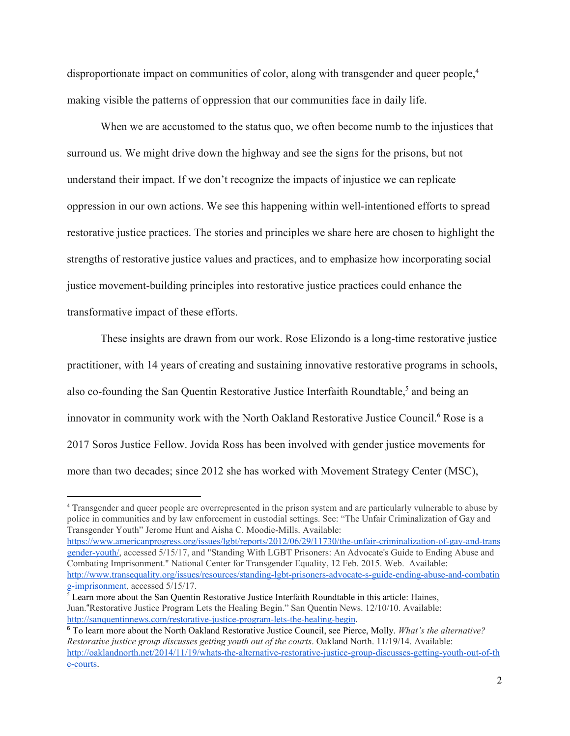disproportionate impact on communities of color, along with transgender and queer people,<sup>4</sup> making visible the patterns of oppression that our communities face in daily life.

When we are accustomed to the status quo, we often become numb to the injustices that surround us. We might drive down the highway and see the signs for the prisons, but not understand their impact. If we don't recognize the impacts of injustice we can replicate oppression in our own actions. We see this happening within well-intentioned efforts to spread restorative justice practices. The stories and principles we share here are chosen to highlight the strengths of restorative justice values and practices, and to emphasize how incorporating social justice movement-building principles into restorative justice practices could enhance the transformative impact of these efforts.

These insights are drawn from our work. Rose Elizondo is a long-time restorative justice practitioner, with 14 years of creating and sustaining innovative restorative programs in schools, also co-founding the San Quentin Restorative Justice Interfaith Roundtable,<sup>5</sup> and being an innovator in community work with the North Oakland Restorative Justice Council.<sup>6</sup> Rose is a 2017 Soros Justice Fellow. Jovida Ross has been involved with gender justice movements for more than two decades; since 2012 she has worked with Movement Strategy Center (MSC),

<sup>4</sup> Transgender and queer people are overrepresented in the prison system and are particularly vulnerable to abuse by police in communities and by law enforcement in custodial settings. See: "The Unfair Criminalization of Gay and Transgender Youth" Jerome Hunt and Aisha C. Moodie-Mills. Available: [https://www.americanprogress.org/issues/lgbt/reports/2012/06/29/11730/the-unfair-criminalization-of-gay-and-trans](https://www.americanprogress.org/issues/lgbt/reports/2012/06/29/11730/the-unfair-criminalization-of-gay-and-transgender-youth/)

[gender-youth/](https://www.americanprogress.org/issues/lgbt/reports/2012/06/29/11730/the-unfair-criminalization-of-gay-and-transgender-youth/), accessed 5/15/17, and "Standing With LGBT Prisoners: An Advocate's Guide to Ending Abuse and Combating Imprisonment." National Center for Transgender Equality, 12 Feb. 2015. Web. Available: [http://www.transequality.org/issues/resources/standing-lgbt-prisoners-advocate-s-guide-ending-abuse-and-combatin](http://www.transequality.org/issues/resources/standing-lgbt-prisoners-advocate-s-guide-ending-abuse-and-combating-imprisonment) [g-imprisonment,](http://www.transequality.org/issues/resources/standing-lgbt-prisoners-advocate-s-guide-ending-abuse-and-combating-imprisonment) accessed 5/15/17.

<sup>5</sup> Learn more about the San Quentin Restorative Justice Interfaith Roundtable in this article: Haines, Juan."Restorative Justice Program Lets the Healing Begin." San Quentin News. 12/10/10. Available: [http://sanquentinnews.com/restorative-justice-program-lets-the-healing-begin](http://sanquentinnews.com/restorative-justice-program-lets-the-healing-begin/).

<sup>6</sup> To learn more about the North Oakland Restorative Justice Council, see Pierce, Molly. *What's the alternative? Restorative justice group discusses getting youth out of the courts*. Oakland North. 11/19/14. Available: [http://oaklandnorth.net/2014/11/19/whats-the-alternative-restorative-justice-group-discusses-getting-youth-out-of-th](http://oaklandnorth.net/2014/11/19/whats-the-alternative-restorative-justice-group-discusses-getting-youth-out-of-the-courts/) [e-courts](http://oaklandnorth.net/2014/11/19/whats-the-alternative-restorative-justice-group-discusses-getting-youth-out-of-the-courts/).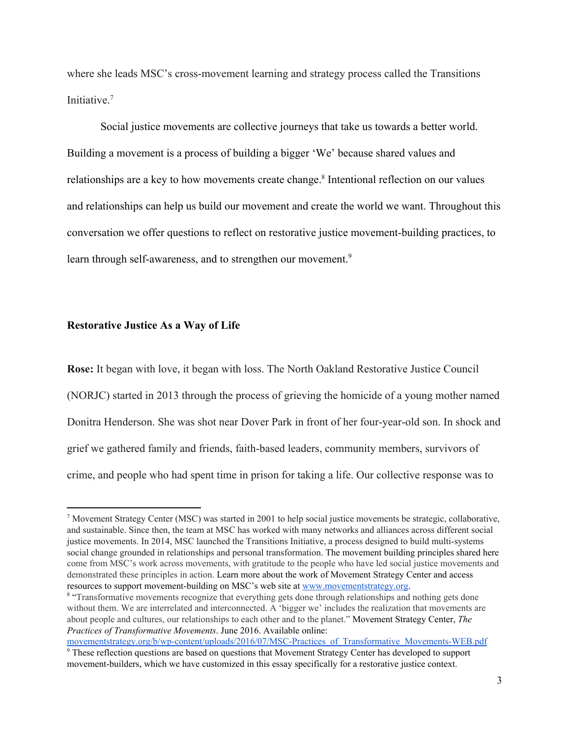where she leads MSC's cross-movement learning and strategy process called the Transitions Initiative<sup>7</sup>

Social justice movements are collective journeys that take us towards a better world. Building a movement is a process of building a bigger 'We' because shared values and relationships are a key to how movements create change.<sup>8</sup> Intentional reflection on our values and relationships can help us build our movement and create the world we want. Throughout this conversation we offer questions to reflect on restorative justice movement-building practices, to learn through self-awareness, and to strengthen our movement.<sup>9</sup>

#### **Restorative Justice As a Way of Life**

**Rose:** It began with love, it began with loss. The North Oakland Restorative Justice Council (NORJC) started in 2013 through the process of grieving the homicide of a young mother named Donitra Henderson. She was shot near Dover Park in front of her four-year-old son. In shock and grief we gathered family and friends, faith-based leaders, community members, survivors of crime, and people who had spent time in prison for taking a life. Our collective response was to

<sup>7</sup> Movement Strategy Center (MSC) was started in 2001 to help social justice movements be strategic, collaborative, and sustainable. Since then, the team at MSC has worked with many networks and alliances across different social justice movements. In 2014, MSC launched the Transitions Initiative, a process designed to build multi-systems social change grounded in relationships and personal transformation. The movement building principles shared here come from MSC's work across movements, with gratitude to the people who have led social justice movements and demonstrated these principles in action. Learn more about the work of Movement Strategy Center and access resources to support movement-building on MSC's web site at [www.movementstrategy.org.](http://www.movementstrategy.org/)

<sup>&</sup>lt;sup>8</sup> "Transformative movements recognize that everything gets done through relationships and nothing gets done without them. We are interrelated and interconnected. A 'bigger we' includes the realization that movements are about people and cultures, our relationships to each other and to the planet." Movement Strategy Center, *The Practices of Transformative Movements*. June 2016. Available online:

[movementstrategy.org/b/wp-content/uploads/2016/07/MSC-Practices\\_of\\_Transformative\\_Movements-WEB.pdf](https://movementstrategy.org/b/wp-content/uploads/2016/07/MSC-Practices_of_Transformative_Movements-WEB.pdf) <sup>9</sup> These reflection questions are based on questions that Movement Strategy Center has developed to support movement-builders, which we have customized in this essay specifically for a restorative justice context.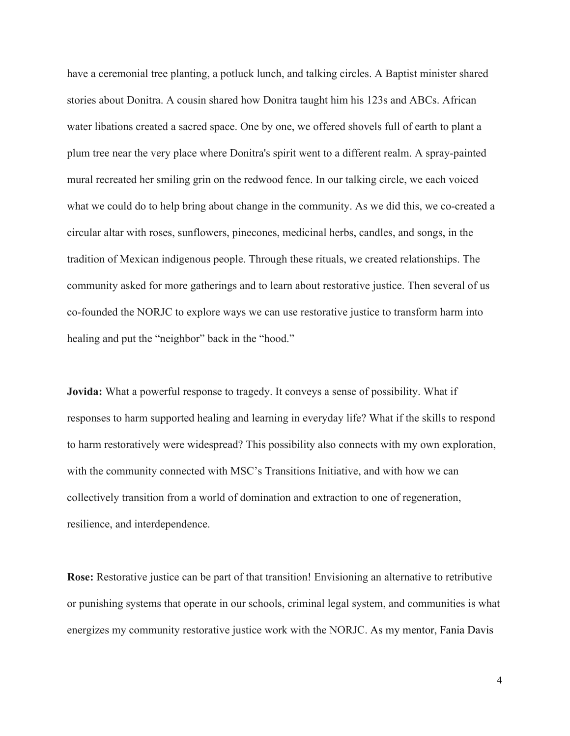have a ceremonial tree planting, a potluck lunch, and talking circles. A Baptist minister shared stories about Donitra. A cousin shared how Donitra taught him his 123s and ABCs. African water libations created a sacred space. One by one, we offered shovels full of earth to plant a plum tree near the very place where Donitra's spirit went to a different realm. A spray-painted mural recreated her smiling grin on the redwood fence. In our talking circle, we each voiced what we could do to help bring about change in the community. As we did this, we co-created a circular altar with roses, sunflowers, pinecones, medicinal herbs, candles, and songs, in the tradition of Mexican indigenous people. Through these rituals, we created relationships. The community asked for more gatherings and to learn about restorative justice. Then several of us co-founded the NORJC to explore ways we can use restorative justice to transform harm into healing and put the "neighbor" back in the "hood."

**Jovida:** What a powerful response to tragedy. It conveys a sense of possibility. What if responses to harm supported healing and learning in everyday life? What if the skills to respond to harm restoratively were widespread? This possibility also connects with my own exploration, with the community connected with MSC's Transitions Initiative, and with how we can collectively transition from a world of domination and extraction to one of regeneration, resilience, and interdependence.

**Rose:** Restorative justice can be part of that transition! Envisioning an alternative to retributive or punishing systems that operate in our schools, criminal legal system, and communities is what energizes my community restorative justice work with the NORJC. As my mentor, Fania Davis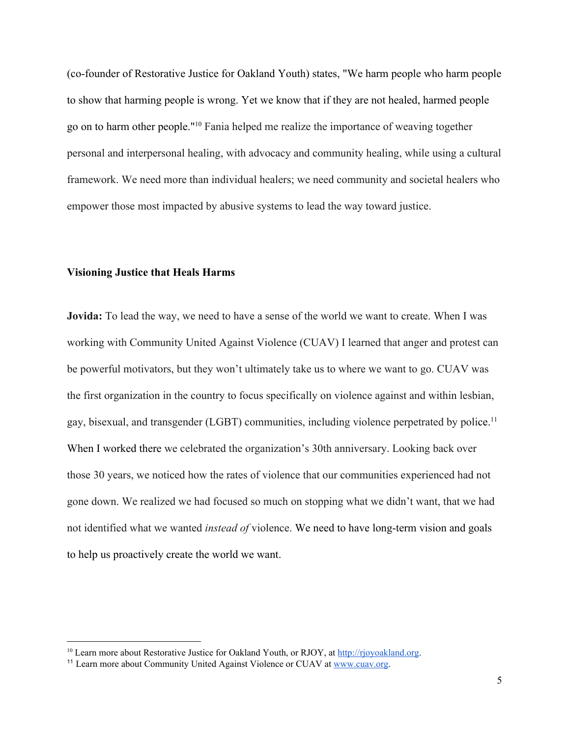(co-founder of Restorative Justice for Oakland Youth) states, "We harm people who harm people to show that harming people is wrong. Yet we know that if they are not healed, harmed people go on to harm other people."<sup>10</sup> Fania helped me realize the importance of weaving together personal and interpersonal healing, with advocacy and community healing, while using a cultural framework. We need more than individual healers; we need community and societal healers who empower those most impacted by abusive systems to lead the way toward justice.

#### **Visioning Justice that Heals Harms**

**Jovida:** To lead the way, we need to have a sense of the world we want to create. When I was working with Community United Against Violence (CUAV) I learned that anger and protest can be powerful motivators, but they won't ultimately take us to where we want to go. CUAV was the first organization in the country to focus specifically on violence against and within lesbian, gay, bisexual, and transgender (LGBT) communities, including violence perpetrated by police.<sup>11</sup> When I worked there we celebrated the organization's 30th anniversary. Looking back over those 30 years, we noticed how the rates of violence that our communities experienced had not gone down. We realized we had focused so much on stopping what we didn't want, that we had not identified what we wanted *instead of* violence. We need to have long-term vision and goals to help us proactively create the world we want.

<sup>&</sup>lt;sup>10</sup> Learn more about Restorative Justice for Oakland Youth, or RJOY, at [http://rjoyoakland.org](http://rjoyoakland.org/).

<sup>11</sup> Learn more about Community United Against Violence or CUAV at [www.cuav.org](http://www.cuav.org/).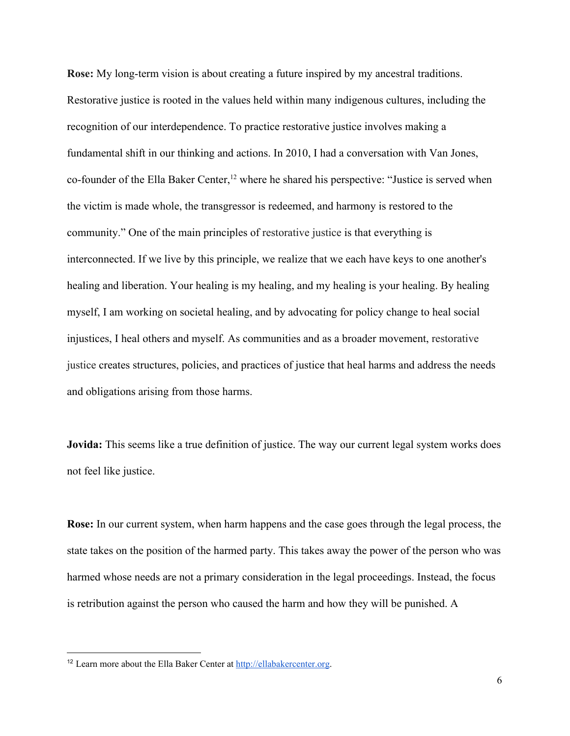**Rose:** My long-term vision is about creating a future inspired by my ancestral traditions. Restorative justice is rooted in the values held within many indigenous cultures, including the recognition of our interdependence. To practice restorative justice involves making a fundamental shift in our thinking and actions. In 2010, I had a conversation with Van Jones, co-founder of the Ella Baker Center,  $^{12}$  where he shared his perspective: "Justice is served when the victim is made whole, the transgressor is redeemed, and harmony is restored to the community." One of the main principles of restorative justice is that everything is interconnected. If we live by this principle, we realize that we each have keys to one another's healing and liberation. Your healing is my healing, and my healing is your healing. By healing myself, I am working on societal healing, and by advocating for policy change to heal social injustices, I heal others and myself. As communities and as a broader movement, restorative justice creates structures, policies, and practices of justice that heal harms and address the needs and obligations arising from those harms.

**Jovida:** This seems like a true definition of justice. The way our current legal system works does not feel like justice.

**Rose:** In our current system, when harm happens and the case goes through the legal process, the state takes on the position of the harmed party. This takes away the power of the person who was harmed whose needs are not a primary consideration in the legal proceedings. Instead, the focus is retribution against the person who caused the harm and how they will be punished. A

<sup>&</sup>lt;sup>12</sup> Learn more about the Ella Baker Center at [http://ellabakercenter.org](http://ellabakercenter.org/).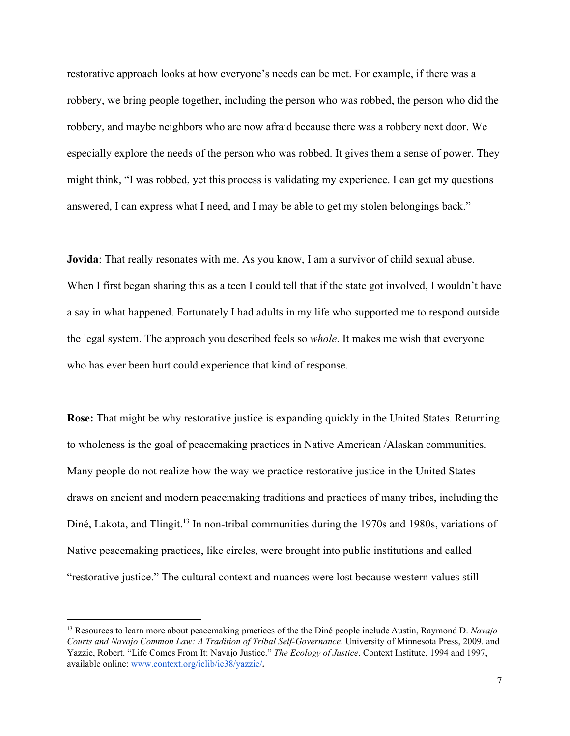restorative approach looks at how everyone's needs can be met. For example, if there was a robbery, we bring people together, including the person who was robbed, the person who did the robbery, and maybe neighbors who are now afraid because there was a robbery next door. We especially explore the needs of the person who was robbed. It gives them a sense of power. They might think, "I was robbed, yet this process is validating my experience. I can get my questions answered, I can express what I need, and I may be able to get my stolen belongings back."

**Jovida**: That really resonates with me. As you know, I am a survivor of child sexual abuse. When I first began sharing this as a teen I could tell that if the state got involved, I wouldn't have a say in what happened. Fortunately I had adults in my life who supported me to respond outside the legal system. The approach you described feels so *whole*. It makes me wish that everyone who has ever been hurt could experience that kind of response.

**Rose:** That might be why restorative justice is expanding quickly in the United States. Returning to wholeness is the goal of peacemaking practices in Native American /Alaskan communities. Many people do not realize how the way we practice restorative justice in the United States draws on ancient and modern peacemaking traditions and practices of many tribes, including the Diné, Lakota, and Tlingit.<sup>13</sup> In non-tribal communities during the 1970s and 1980s, variations of Native peacemaking practices, like circles, were brought into public institutions and called "restorative justice." The cultural context and nuances were lost because western values still

<sup>13</sup> Resources to learn more about peacemaking practices of the the Diné people include Austin, Raymond D. *Navajo Courts and Navajo Common Law: A Tradition of Tribal Self-Governance*. University of Minnesota Press, 2009. and Yazzie, Robert. "Life Comes From It: Navajo Justice." *The Ecology of Justice*. Context Institute, 1994 and 1997, available online: [www.context.org/iclib/ic38/yazzie/](http://www.context.org/iclib/ic38/yazzie)*.*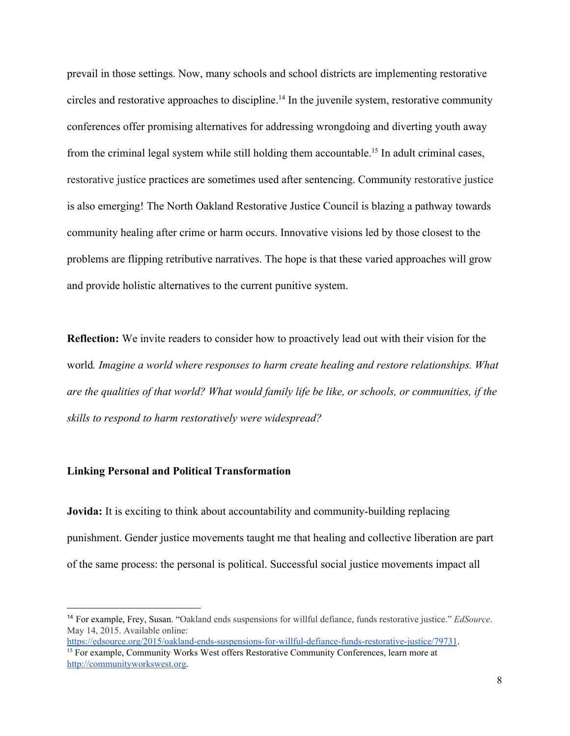prevail in those settings. Now, many schools and school districts are implementing restorative circles and restorative approaches to discipline.<sup>14</sup> In the juvenile system, restorative community conferences offer promising alternatives for addressing wrongdoing and diverting youth away from the criminal legal system while still holding them accountable.<sup>15</sup> In adult criminal cases, restorative justice practices are sometimes used after sentencing. Community restorative justice is also emerging! The North Oakland Restorative Justice Council is blazing a pathway towards community healing after crime or harm occurs. Innovative visions led by those closest to the problems are flipping retributive narratives. The hope is that these varied approaches will grow and provide holistic alternatives to the current punitive system.

**Reflection:** We invite readers to consider how to proactively lead out with their vision for the world*. Imagine a world where responses to harm create healing and restore relationships. What are the qualities of that world? What would family life be like, or schools, or communities, if the skills to respond to harm restoratively were widespread?*

#### **Linking Personal and Political Transformation**

**Jovida:** It is exciting to think about accountability and community-building replacing punishment. Gender justice movements taught me that healing and collective liberation are part of the same process: the personal is political. Successful social justice movements impact all

<sup>14</sup> For example, Frey, Susan. "Oakland ends suspensions for willful defiance, funds restorative justice." *EdSource*. May 14, 2015. Available online:

<https://edsource.org/2015/oakland-ends-suspensions-for-willful-defiance-funds-restorative-justice/79731>. <sup>15</sup> For example, Community Works West offers Restorative Community Conferences, learn more at [http://communityworkswest.org.](http://communityworkswest.org/)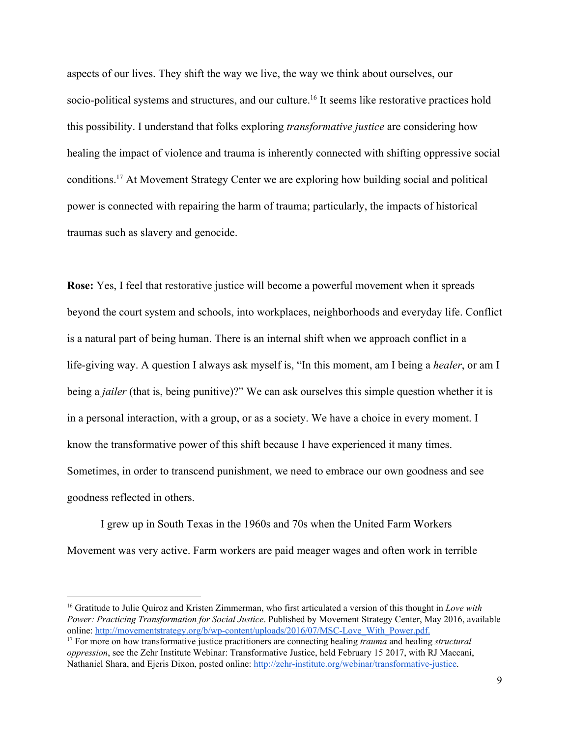aspects of our lives. They shift the way we live, the way we think about ourselves, our socio-political systems and structures, and our culture.<sup>16</sup> It seems like restorative practices hold this possibility. I understand that folks exploring *transformative justice* are considering how healing the impact of violence and trauma is inherently connected with shifting oppressive social conditions.<sup>17</sup> At Movement Strategy Center we are exploring how building social and political power is connected with repairing the harm of trauma; particularly, the impacts of historical traumas such as slavery and genocide.

**Rose:** Yes, I feel that restorative justice will become a powerful movement when it spreads beyond the court system and schools, into workplaces, neighborhoods and everyday life. Conflict is a natural part of being human. There is an internal shift when we approach conflict in a life-giving way. A question I always ask myself is, "In this moment, am I being a *healer*, or am I being a *jailer* (that is, being punitive)?" We can ask ourselves this simple question whether it is in a personal interaction, with a group, or as a society. We have a choice in every moment. I know the transformative power of this shift because I have experienced it many times. Sometimes, in order to transcend punishment, we need to embrace our own goodness and see goodness reflected in others.

I grew up in South Texas in the 1960s and 70s when the United Farm Workers Movement was very active. Farm workers are paid meager wages and often work in terrible

<sup>16</sup> Gratitude to Julie Quiroz and Kristen Zimmerman, who first articulated a version of this thought in *Love with Power: Practicing Transformation for Social Justice*. Published by Movement Strategy Center, May 2016, available online: [http://movementstrategy.org/b/wp-content/uploads/2016/07/MSC-Love\\_With\\_Power.pdf.](http://movementstrategy.org/b/wp-content/uploads/2016/07/MSC-Love_With_Power.pdf.)

<sup>17</sup> For more on how transformative justice practitioners are connecting healing *trauma* and healing *structural oppression*, see the Zehr Institute Webinar: Transformative Justice, held February 15 2017, with RJ Maccani, Nathaniel Shara, and Ejeris Dixon, posted online: <http://zehr-institute.org/webinar/transformative-justice>.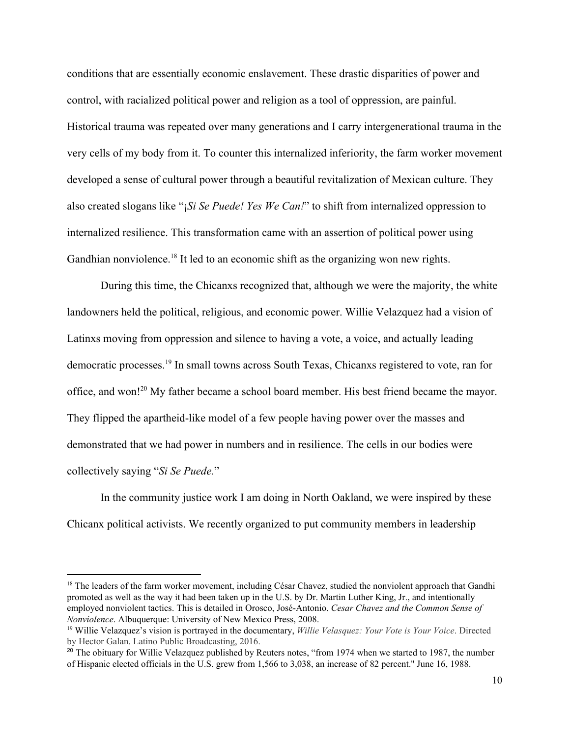conditions that are essentially economic enslavement. These drastic disparities of power and control, with racialized political power and religion as a tool of oppression, are painful. Historical trauma was repeated over many generations and I carry intergenerational trauma in the very cells of my body from it. To counter this internalized inferiority, the farm worker movement developed a sense of cultural power through a beautiful revitalization of Mexican culture. They also created slogans like "¡*Si Se Puede! Yes We Can!*" to shift from internalized oppression to internalized resilience. This transformation came with an assertion of political power using Gandhian nonviolence.<sup>18</sup> It led to an economic shift as the organizing won new rights.

During this time, the Chicanxs recognized that, although we were the majority, the white landowners held the political, religious, and economic power. Willie Velazquez had a vision of Latinxs moving from oppression and silence to having a vote, a voice, and actually leading democratic processes.<sup>19</sup> In small towns across South Texas, Chicanxs registered to vote, ran for office, and won!<sup>20</sup> My father became a school board member. His best friend became the mayor. They flipped the apartheid-like model of a few people having power over the masses and demonstrated that we had power in numbers and in resilience. The cells in our bodies were collectively saying "*Si Se Puede.*"

In the community justice work I am doing in North Oakland, we were inspired by these Chicanx political activists. We recently organized to put community members in leadership

<sup>&</sup>lt;sup>18</sup> The leaders of the farm worker movement, including César Chavez, studied the nonviolent approach that Gandhi promoted as well as the way it had been taken up in the U.S. by Dr. Martin Luther King, Jr., and intentionally employed nonviolent tactics. This is detailed in Orosco, José-Antonio. *Cesar Chavez and the Common Sense of Nonviolence*. Albuquerque: University of New Mexico Press, 2008.

<sup>19</sup> Willie Velazquez's vision is portrayed in the documentary, *Willie Velasquez: Your Vote is Your Voice*. Directed by Hector Galan. Latino Public Broadcasting, 2016.

<sup>&</sup>lt;sup>20</sup> The obituary for Willie Velazquez published by Reuters notes, "from 1974 when we started to 1987, the number of Hispanic elected officials in the U.S. grew from 1,566 to 3,038, an increase of 82 percent.'' June 16, 1988.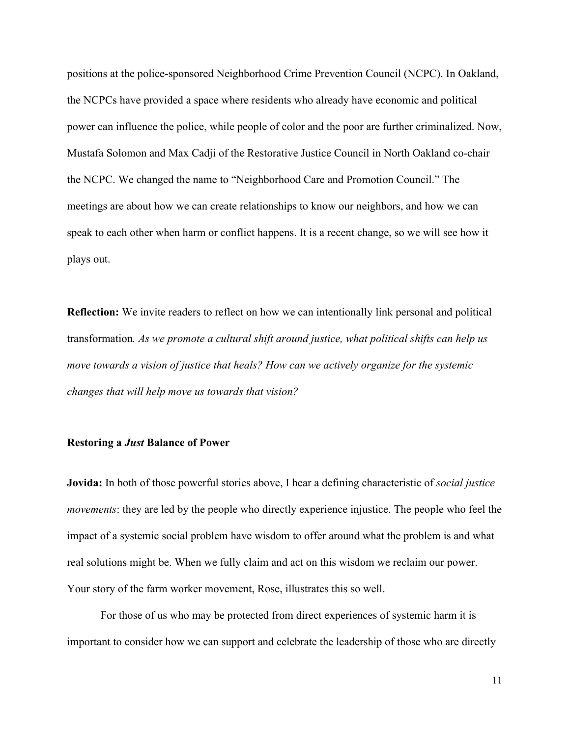positions at the police-sponsored Neighborhood Crime Prevention Council (NCPC). In Oakland, the NCPCs have provided a space where residents who already have economic and political power can influence the police, while people of color and the poor are further criminalized. Now, Mustafa Solomon and Max Cadji of the Restorative Justice Council in North Oakland co-chair the NCPC. We changed the name to "Neighborhood Care and Promotion Council." The meetings are about how we can create relationships to know our neighbors, and how we can speak to each other when harm or conflict happens. It is a recent change, so we will see how it plays out.

**Reflection:** We invite readers to reflect on how we can intentionally link personal and political transformation*. As we promote a cultural shift around justice, what political shifts can help us move towards a vision of justice that heals? How can we actively organize for the systemic changes that will help move us towards that vision?*

## **Restoring a** *Just* **Balance of Power**

**Jovida:** In both of those powerful stories above, I hear a defining characteristic of *social justice movements*: they are led by the people who directly experience injustice. The people who feel the impact of a systemic social problem have wisdom to offer around what the problem is and what real solutions might be. When we fully claim and act on this wisdom we reclaim our power. Your story of the farm worker movement, Rose, illustrates this so well.

For those of us who may be protected from direct experiences of systemic harm it is important to consider how we can support and celebrate the leadership of those who are directly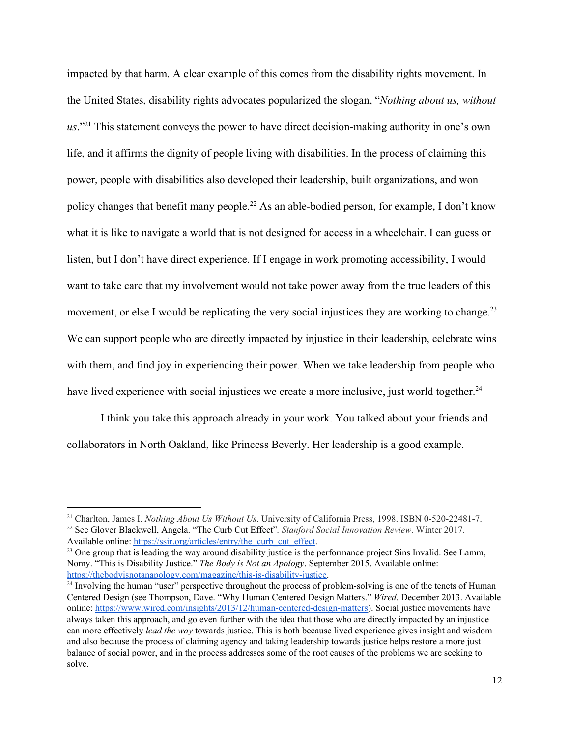impacted by that harm. A clear example of this comes from the disability rights movement. In the United States, disability rights advocates popularized the slogan, "*Nothing about us, without*  $us.^{"21}$  This statement conveys the power to have direct decision-making authority in one's own life, and it affirms the dignity of people living with disabilities. In the process of claiming this power, people with disabilities also developed their leadership, built organizations, and won policy changes that benefit many people.<sup>22</sup> As an able-bodied person, for example, I don't know what it is like to navigate a world that is not designed for access in a wheelchair. I can guess or listen, but I don't have direct experience. If I engage in work promoting accessibility, I would want to take care that my involvement would not take power away from the true leaders of this movement, or else I would be replicating the very social injustices they are working to change.<sup>23</sup> We can support people who are directly impacted by injustice in their leadership, celebrate wins with them, and find joy in experiencing their power. When we take leadership from people who have lived experience with social injustices we create a more inclusive, just world together.<sup>24</sup>

I think you take this approach already in your work. You talked about your friends and collaborators in North Oakland, like Princess Beverly. Her leadership is a good example.

<sup>21</sup> Charlton, James I. *Nothing About Us Without Us*. University of California Press, 1998. ISBN 0-520-22481-7. <sup>22</sup> See Glover Blackwell, Angela. "The Curb Cut Effect"*. Stanford Social Innovation Review*. Winter 2017. Available online: [https://ssir.org/articles/entry/the\\_curb\\_cut\\_effect.](https://ssir.org/articles/entry/the_curb_cut_effect)

<sup>&</sup>lt;sup>23</sup> One group that is leading the way around disability justice is the performance project Sins Invalid. See Lamm, Nomy. "This is Disability Justice." *The Body is Not an Apology*. September 2015. Available online: [https://thebodyisnotanapology.com/magazine/this-is-disability-justice](https://thebodyisnotanapology.com/magazine/this-is-disability-justice/).

<sup>&</sup>lt;sup>24</sup> Involving the human "user" perspective throughout the process of problem-solving is one of the tenets of Human Centered Design (see Thompson, Dave. "Why Human Centered Design Matters." *Wired*. December 2013. Available online: <https://www.wired.com/insights/2013/12/human-centered-design-matters>). Social justice movements have always taken this approach, and go even further with the idea that those who are directly impacted by an injustice can more effectively *lead the way* towards justice. This is both because lived experience gives insight and wisdom and also because the process of claiming agency and taking leadership towards justice helps restore a more just balance of social power, and in the process addresses some of the root causes of the problems we are seeking to solve.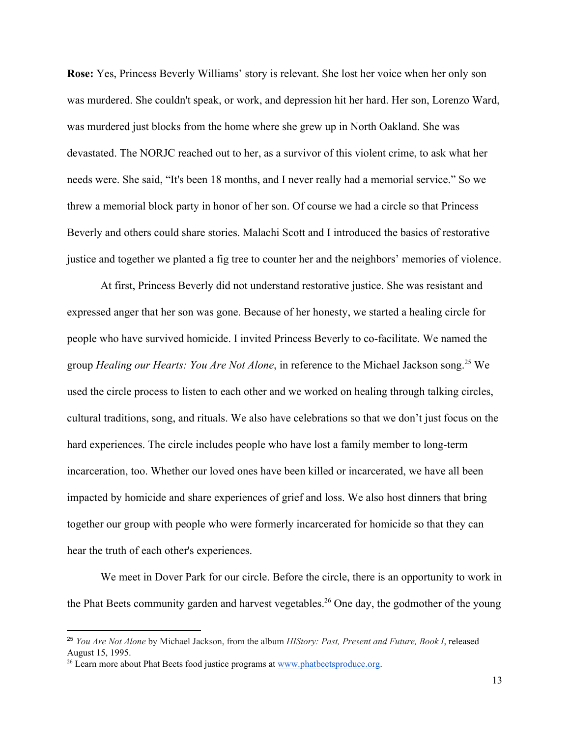**Rose:** Yes, Princess Beverly Williams' story is relevant. She lost her voice when her only son was murdered. She couldn't speak, or work, and depression hit her hard. Her son, Lorenzo Ward, was murdered just blocks from the home where she grew up in North Oakland. She was devastated. The NORJC reached out to her, as a survivor of this violent crime, to ask what her needs were. She said, "It's been 18 months, and I never really had a memorial service." So we threw a memorial block party in honor of her son. Of course we had a circle so that Princess Beverly and others could share stories. Malachi Scott and I introduced the basics of restorative justice and together we planted a fig tree to counter her and the neighbors' memories of violence.

At first, Princess Beverly did not understand restorative justice. She was resistant and expressed anger that her son was gone. Because of her honesty, we started a healing circle for people who have survived homicide. I invited Princess Beverly to co-facilitate. We named the group *Healing our Hearts: You Are Not Alone*, in reference to the Michael Jackson song.<sup>25</sup> We used the circle process to listen to each other and we worked on healing through talking circles, cultural traditions, song, and rituals. We also have celebrations so that we don't just focus on the hard experiences. The circle includes people who have lost a family member to long-term incarceration, too. Whether our loved ones have been killed or incarcerated, we have all been impacted by homicide and share experiences of grief and loss. We also host dinners that bring together our group with people who were formerly incarcerated for homicide so that they can hear the truth of each other's experiences.

We meet in Dover Park for our circle. Before the circle, there is an opportunity to work in the Phat Beets community garden and harvest vegetables.<sup>26</sup> One day, the godmother of the young

<sup>25</sup> *You Are Not Alone* by Michael Jackson, from the album *[HIStory:](https://en.wikipedia.org/wiki/HIStory:_Past,_Present_and_Future,_Book_I) Past, Present and Future, Book I*, released August 15, 1995.

<sup>&</sup>lt;sup>26</sup> Learn more about Phat Beets food justice programs at [www.phatbeetsproduce.org](http://www.phatbeetsproduce.org/).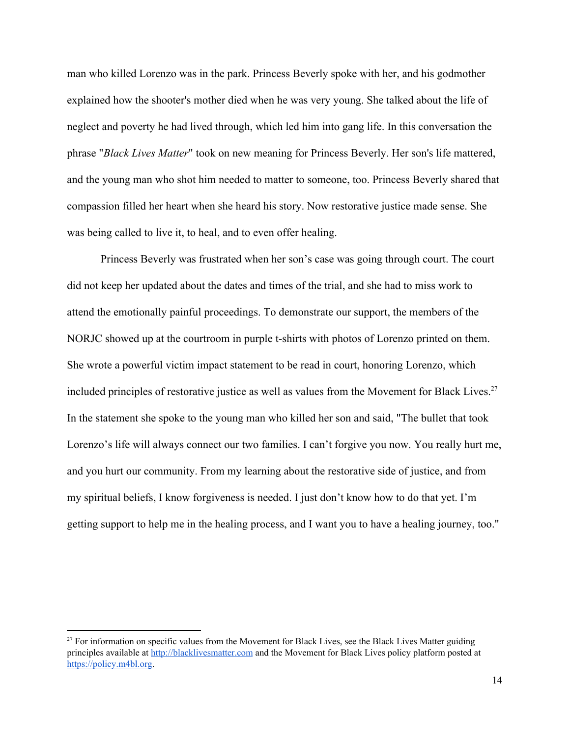man who killed Lorenzo was in the park. Princess Beverly spoke with her, and his godmother explained how the shooter's mother died when he was very young. She talked about the life of neglect and poverty he had lived through, which led him into gang life. In this conversation the phrase "*Black Lives Matter*" took on new meaning for Princess Beverly. Her son's life mattered, and the young man who shot him needed to matter to someone, too. Princess Beverly shared that compassion filled her heart when she heard his story. Now restorative justice made sense. She was being called to live it, to heal, and to even offer healing.

Princess Beverly was frustrated when her son's case was going through court. The court did not keep her updated about the dates and times of the trial, and she had to miss work to attend the emotionally painful proceedings. To demonstrate our support, the members of the NORJC showed up at the courtroom in purple t-shirts with photos of Lorenzo printed on them. She wrote a powerful victim impact statement to be read in court, honoring Lorenzo, which included principles of restorative justice as well as values from the Movement for Black Lives.<sup>27</sup> In the statement she spoke to the young man who killed her son and said, "The bullet that took Lorenzo's life will always connect our two families. I can't forgive you now. You really hurt me, and you hurt our community. From my learning about the restorative side of justice, and from my spiritual beliefs, I know forgiveness is needed. I just don't know how to do that yet. I'm getting support to help me in the healing process, and I want you to have a healing journey, too."

 $27$  For information on specific values from the Movement for Black Lives, see the Black Lives Matter guiding principles available at [http://blacklivesmatter.com](http://blacklivesmatter.com/guiding-principles/) and the Movement for Black Lives policy platform posted at [https://policy.m4bl.org.](https://policy.m4bl.org/)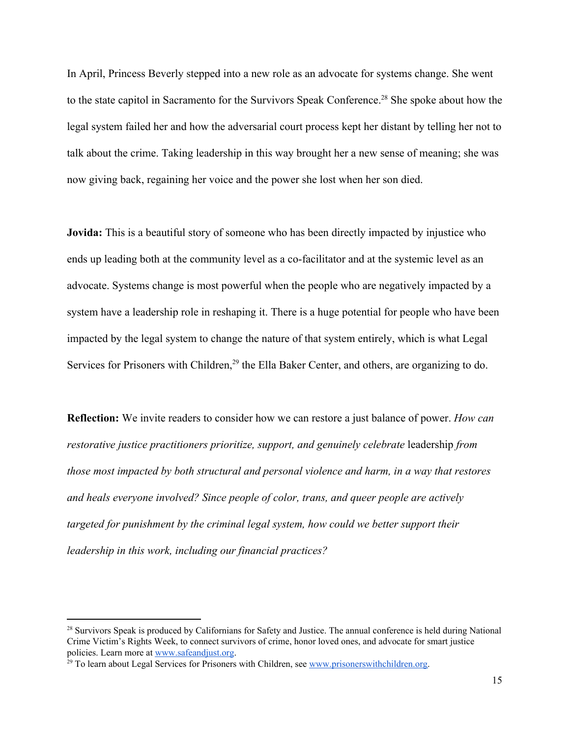In April, Princess Beverly stepped into a new role as an advocate for systems change. She went to the state capitol in Sacramento for the Survivors Speak Conference.<sup>28</sup> She spoke about how the legal system failed her and how the adversarial court process kept her distant by telling her not to talk about the crime. Taking leadership in this way brought her a new sense of meaning; she was now giving back, regaining her voice and the power she lost when her son died.

**Jovida:** This is a beautiful story of someone who has been directly impacted by injustice who ends up leading both at the community level as a co-facilitator and at the systemic level as an advocate. Systems change is most powerful when the people who are negatively impacted by a system have a leadership role in reshaping it. There is a huge potential for people who have been impacted by the legal system to change the nature of that system entirely, which is what Legal Services for Prisoners with Children,  $29$  the Ella Baker Center, and others, are organizing to do.

**Reflection:** We invite readers to consider how we can restore a just balance of power. *How can restorative justice practitioners prioritize, support, and genuinely celebrate leadership from those most impacted by both structural and personal violence and harm, in a way that restores and heals everyone involved? Since people of color, trans, and queer people are actively targeted for punishment by the criminal legal system, how could we better support their leadership in this work, including our financial practices?*

 $28$  Survivors Speak is produced by Californians for Safety and Justice. The annual conference is held during National Crime Victim's Rights Week, to connect survivors of crime, honor loved ones, and advocate for smart justice policies. Learn more at [www.safeandjust.org](http://www.safeandjust.org/).

 $^{29}$  To learn about Legal Services for Prisoners with Children, see [www.prisonerswithchildren.org.](http://www.prisonerswithchildren.org/)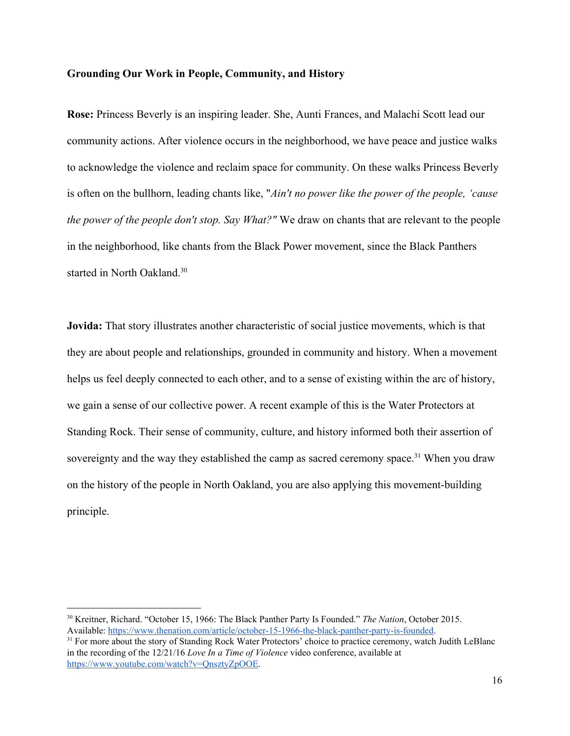### **Grounding Our Work in People, Community, and History**

**Rose:** Princess Beverly is an inspiring leader. She, Aunti Frances, and Malachi Scott lead our community actions. After violence occurs in the neighborhood, we have peace and justice walks to acknowledge the violence and reclaim space for community. On these walks Princess Beverly is often on the bullhorn, leading chants like, "*Ain't no power like the power of the people, 'cause the power of the people don't stop. Say What?"* We draw on chants that are relevant to the people in the neighborhood, like chants from the Black Power movement, since the Black Panthers started in North Oakland.<sup>30</sup>

**Jovida:** That story illustrates another characteristic of social justice movements, which is that they are about people and relationships, grounded in community and history. When a movement helps us feel deeply connected to each other, and to a sense of existing within the arc of history, we gain a sense of our collective power. A recent example of this is the Water Protectors at Standing Rock. Their sense of community, culture, and history informed both their assertion of sovereignty and the way they established the camp as sacred ceremony space.<sup>31</sup> When you draw on the history of the people in North Oakland, you are also applying this movement-building principle.

<sup>30</sup> Kreitner, Richard. "October 15, 1966: The Black Panther Party Is Founded." *The Nation*, October 2015. Available: [https://www.thenation.com/article/october-15-1966-the-black-panther-party-is-founded.](https://www.thenation.com/article/october-15-1966-the-black-panther-party-is-founded/)

<sup>&</sup>lt;sup>31</sup> For more about the story of Standing Rock Water Protectors' choice to practice ceremony, watch Judith LeBlanc in the recording of the 12/21/16 *Love In a Time of Violence* video conference, available at [https://www.youtube.com/watch?v=QnsztyZpOOE.](https://www.youtube.com/watch?v=QnsztyZpOOE)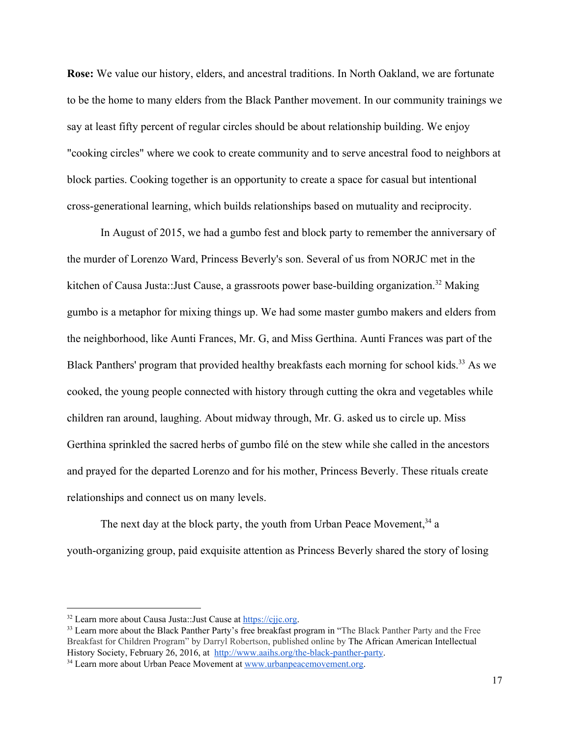**Rose:** We value our history, elders, and ancestral traditions. In North Oakland, we are fortunate to be the home to many elders from the Black Panther movement. In our community trainings we say at least fifty percent of regular circles should be about relationship building. We enjoy "cooking circles" where we cook to create community and to serve ancestral food to neighbors at block parties. Cooking together is an opportunity to create a space for casual but intentional cross-generational learning, which builds relationships based on mutuality and reciprocity.

In August of 2015, we had a gumbo fest and block party to remember the anniversary of the murder of Lorenzo Ward, Princess Beverly's son. Several of us from NORJC met in the kitchen of Causa Justa::Just Cause, a grassroots power base-building organization.<sup>32</sup> Making gumbo is a metaphor for mixing things up. We had some master gumbo makers and elders from the neighborhood, like Aunti Frances, Mr. G, and Miss Gerthina. Aunti Frances was part of the Black Panthers' program that provided healthy breakfasts each morning for school kids.<sup>33</sup> As we cooked, the young people connected with history through cutting the okra and vegetables while children ran around, laughing. About midway through, Mr. G. asked us to circle up. Miss Gerthina sprinkled the sacred herbs of gumbo filé on the stew while she called in the ancestors and prayed for the departed Lorenzo and for his mother, Princess Beverly. These rituals create relationships and connect us on many levels.

The next day at the block party, the youth from Urban Peace Movement,  $34$  a youth-organizing group, paid exquisite attention as Princess Beverly shared the story of losing

<sup>32</sup> Learn more about Causa Justa::Just Cause at [https://cjjc.org.](https://cjjc.org/)

<sup>&</sup>lt;sup>33</sup> Learn more about the Black Panther Party's free breakfast program in "The Black Panther Party and the Free Breakfast for Children Program" by Darryl Robertson, published online by The African American Intellectual History Society, February 26, 2016, at [http://www.aaihs.org/the-black-panther-party.](http://www.aaihs.org/the-black-panther-party/)

<sup>&</sup>lt;sup>34</sup> Learn more about Urban Peace Movement at [www.urbanpeacemovement.org.](http://www.urbanpeacemovement.org/)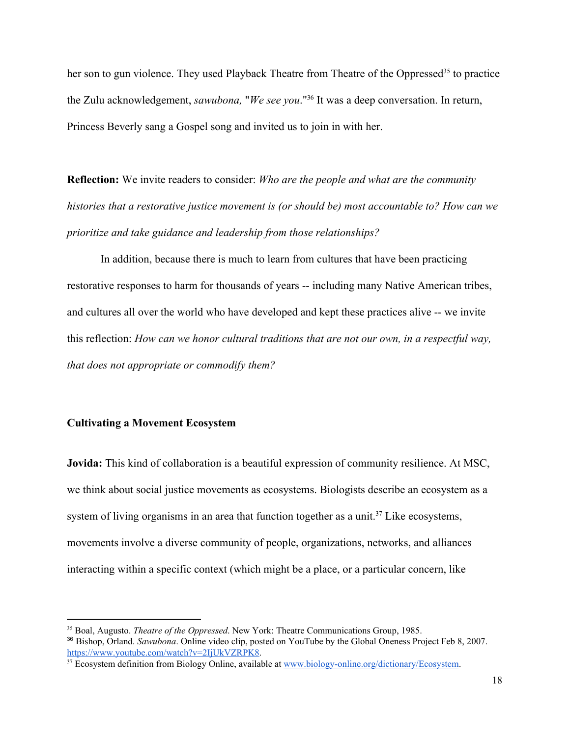her son to gun violence. They used Playback Theatre from Theatre of the Oppressed<sup>35</sup> to practice the Zulu acknowledgement, *sawubona*, "*We see you*."<sup>36</sup> It was a deep conversation. In return, Princess Beverly sang a Gospel song and invited us to join in with her.

**Reflection:** We invite readers to consider: *Who are the people and what are the community histories that a restorative justice movement is (or should be) most accountable to? How can we prioritize and take guidance and leadership from those relationships?*

In addition, because there is much to learn from cultures that have been practicing restorative responses to harm for thousands of years -- including many Native American tribes, and cultures all over the world who have developed and kept these practices alive -- we invite this reflection: *How can we honor cultural traditions that are not our own, in a respectful way, that does not appropriate or commodify them?*

# **Cultivating a Movement Ecosystem**

**Jovida:** This kind of collaboration is a beautiful expression of community resilience. At MSC, we think about social justice movements as ecosystems. Biologists describe an ecosystem as a system of living organisms in an area that function together as a unit.<sup>37</sup> Like ecosystems, movements involve a diverse community of people, organizations, networks, and alliances interacting within a specific context (which might be a place, or a particular concern, like

<sup>35</sup> Boal, Augusto. *Theatre of the Oppressed*. New York: Theatre Communications Group, 1985.

<sup>36</sup> Bishop, Orland. *Sawubona*. Online video clip, posted on YouTube by the Global Oneness Project Feb 8, 2007. [https://www.youtube.com/watch?v=2IjUkVZRPK8.](https://www.youtube.com/watch?v=2IjUkVZRPK8)

<sup>&</sup>lt;sup>37</sup> Ecosystem definition from Biology Online, available at [www.biology-online.org/dictionary/Ecosystem](http://www.biology-online.org/dictionary/Ecosystem).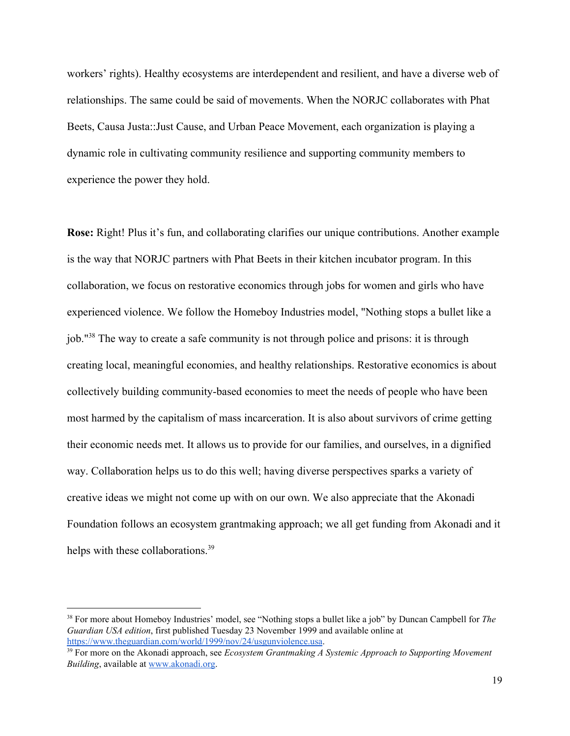workers' rights). Healthy ecosystems are interdependent and resilient, and have a diverse web of relationships. The same could be said of movements. When the NORJC collaborates with Phat Beets, Causa Justa::Just Cause, and Urban Peace Movement, each organization is playing a dynamic role in cultivating community resilience and supporting community members to experience the power they hold.

**Rose:** Right! Plus it's fun, and collaborating clarifies our unique contributions. Another example is the way that NORJC partners with Phat Beets in their kitchen incubator program. In this collaboration, we focus on restorative economics through jobs for women and girls who have experienced violence. We follow the Homeboy Industries model, "Nothing stops a bullet like a job."<sup>38</sup> The way to create a safe community is not through police and prisons: it is through creating local, meaningful economies, and healthy relationships. Restorative economics is about collectively building community-based economies to meet the needs of people who have been most harmed by the capitalism of mass incarceration. It is also about survivors of crime getting their economic needs met. It allows us to provide for our families, and ourselves, in a dignified way. Collaboration helps us to do this well; having diverse perspectives sparks a variety of creative ideas we might not come up with on our own. We also appreciate that the Akonadi Foundation follows an ecosystem grantmaking approach; we all get funding from Akonadi and it helps with these collaborations.<sup>39</sup>

<sup>38</sup> For more about Homeboy Industries' model, see "Nothing stops a bullet like a job" by Duncan Campbell for *The Guardian USA edition*, first published Tuesday 23 November 1999 and available online at <https://www.theguardian.com/world/1999/nov/24/usgunviolence.usa>.

<sup>39</sup> For more on the Akonadi approach, see *Ecosystem Grantmaking A Systemic Approach to Supporting Movement Building*, available at [www.akonadi.org](http://www.akonadi.org/).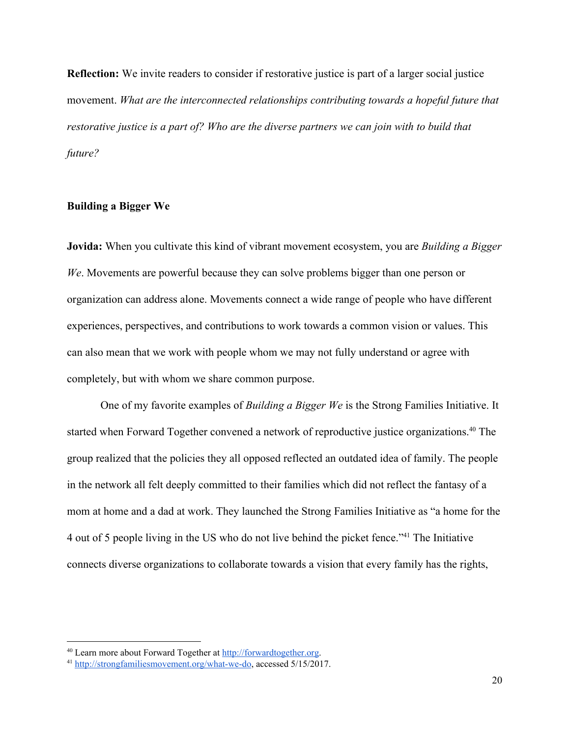**Reflection:** We invite readers to consider if restorative justice is part of a larger social justice movement. *What are the interconnected relationships contributing towards a hopeful future that restorative justice is a part of? Who are the diverse partners we can join with to build that future?*

# **Building a Bigger We**

**Jovida:** When you cultivate this kind of vibrant movement ecosystem, you are *Building a Bigger We*. Movements are powerful because they can solve problems bigger than one person or organization can address alone. Movements connect a wide range of people who have different experiences, perspectives, and contributions to work towards a common vision or values. This can also mean that we work with people whom we may not fully understand or agree with completely, but with whom we share common purpose.

One of my favorite examples of *Building a Bigger We* is the Strong Families Initiative. It started when Forward Together convened a network of reproductive justice organizations.<sup>40</sup> The group realized that the policies they all opposed reflected an outdated idea of family. The people in the network all felt deeply committed to their families which did not reflect the fantasy of a mom at home and a dad at work. They launched the Strong Families Initiative as "a home for the 4 out of 5 people living in the US who do not live behind the picket fence."<sup>41</sup> The Initiative connects diverse organizations to collaborate towards a vision that every family has the rights,

<sup>40</sup> Learn more about Forward Together at [http://forwardtogether.org.](http://forwardtogether.org/)

<sup>41</sup> <http://strongfamiliesmovement.org/what-we-do>, accessed 5/15/2017.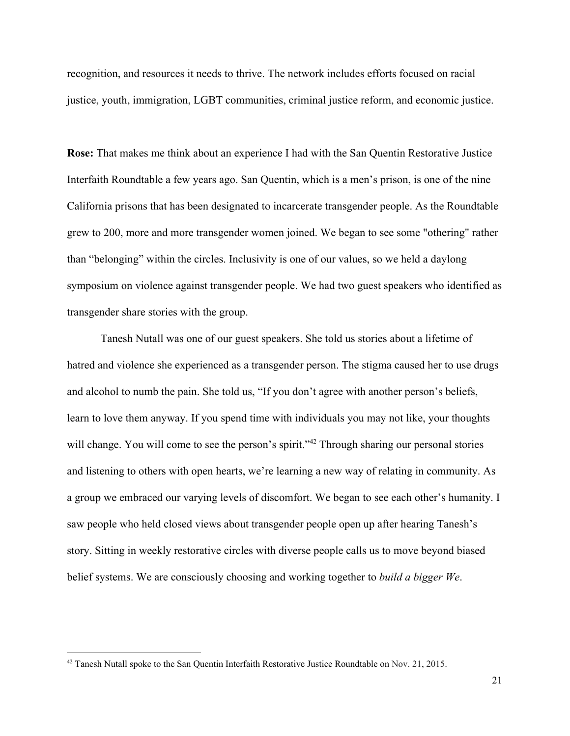recognition, and resources it needs to thrive. The network includes efforts focused on racial justice, youth, immigration, LGBT communities, criminal justice reform, and economic justice.

**Rose:** That makes me think about an experience I had with the San Quentin Restorative Justice Interfaith Roundtable a few years ago. San Quentin, which is a men's prison, is one of the nine California prisons that has been designated to incarcerate transgender people. As the Roundtable grew to 200, more and more transgender women joined. We began to see some "othering" rather than "belonging" within the circles. Inclusivity is one of our values, so we held a daylong symposium on violence against transgender people. We had two guest speakers who identified as transgender share stories with the group.

Tanesh Nutall was one of our guest speakers. She told us stories about a lifetime of hatred and violence she experienced as a transgender person. The stigma caused her to use drugs and alcohol to numb the pain. She told us, "If you don't agree with another person's beliefs, learn to love them anyway. If you spend time with individuals you may not like, your thoughts will change. You will come to see the person's spirit."<sup>42</sup> Through sharing our personal stories and listening to others with open hearts, we're learning a new way of relating in community. As a group we embraced our varying levels of discomfort. We began to see each other's humanity. I saw people who held closed views about transgender people open up after hearing Tanesh's story. Sitting in weekly restorative circles with diverse people calls us to move beyond biased belief systems. We are consciously choosing and working together to *build a bigger We*.

<sup>&</sup>lt;sup>42</sup> Tanesh Nutall spoke to the San Quentin Interfaith Restorative Justice Roundtable on Nov. 21, 2015.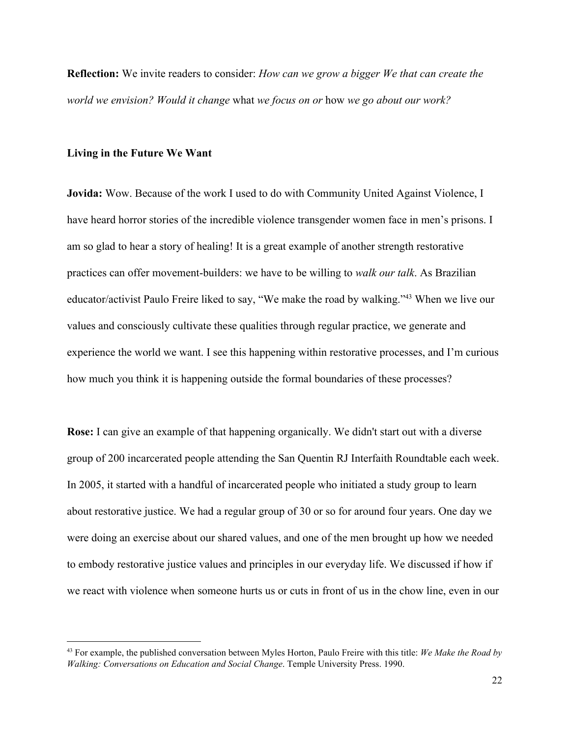**Reflection:** We invite readers to consider: *How can we grow a bigger We that can create the world we envision? Would it change* what *we focus on or* how *we go about our work?*

#### **Living in the Future We Want**

**Jovida:** Wow. Because of the work I used to do with Community United Against Violence, I have heard horror stories of the incredible violence transgender women face in men's prisons. I am so glad to hear a story of healing! It is a great example of another strength restorative practices can offer movement-builders: we have to be willing to *walk our talk*. As Brazilian educator/activist Paulo Freire liked to say, "We make the road by walking."<sup>43</sup> When we live our values and consciously cultivate these qualities through regular practice, we generate and experience the world we want. I see this happening within restorative processes, and I'm curious how much you think it is happening outside the formal boundaries of these processes?

**Rose:** I can give an example of that happening organically. We didn't start out with a diverse group of 200 incarcerated people attending the San Quentin RJ Interfaith Roundtable each week. In 2005, it started with a handful of incarcerated people who initiated a study group to learn about restorative justice. We had a regular group of 30 or so for around four years. One day we were doing an exercise about our shared values, and one of the men brought up how we needed to embody restorative justice values and principles in our everyday life. We discussed if how if we react with violence when someone hurts us or cuts in front of us in the chow line, even in our

<sup>43</sup> For example, the published conversation between Myles Horton, Paulo Freire with this title: *We Make the Road by Walking: Conversations on Education and Social Change*. Temple University Press. 1990.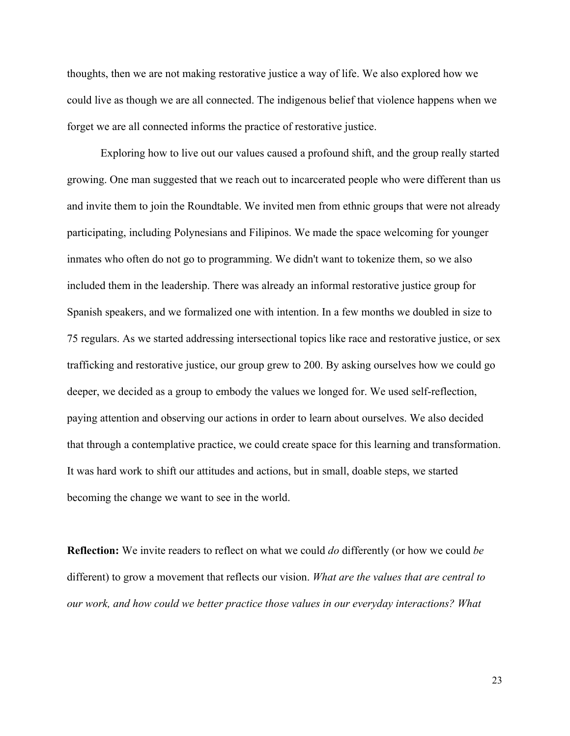thoughts, then we are not making restorative justice a way of life. We also explored how we could live as though we are all connected. The indigenous belief that violence happens when we forget we are all connected informs the practice of restorative justice.

Exploring how to live out our values caused a profound shift, and the group really started growing. One man suggested that we reach out to incarcerated people who were different than us and invite them to join the Roundtable. We invited men from ethnic groups that were not already participating, including Polynesians and Filipinos. We made the space welcoming for younger inmates who often do not go to programming. We didn't want to tokenize them, so we also included them in the leadership. There was already an informal restorative justice group for Spanish speakers, and we formalized one with intention. In a few months we doubled in size to 75 regulars. As we started addressing intersectional topics like race and restorative justice, or sex trafficking and restorative justice, our group grew to 200. By asking ourselves how we could go deeper, we decided as a group to embody the values we longed for. We used self-reflection, paying attention and observing our actions in order to learn about ourselves. We also decided that through a contemplative practice, we could create space for this learning and transformation. It was hard work to shift our attitudes and actions, but in small, doable steps, we started becoming the change we want to see in the world.

**Reflection:** We invite readers to reflect on what we could *do* differently (or how we could *be* different) to grow a movement that reflects our vision. *What are the values that are central to our work, and how could we better practice those values in our everyday interactions? What*

23